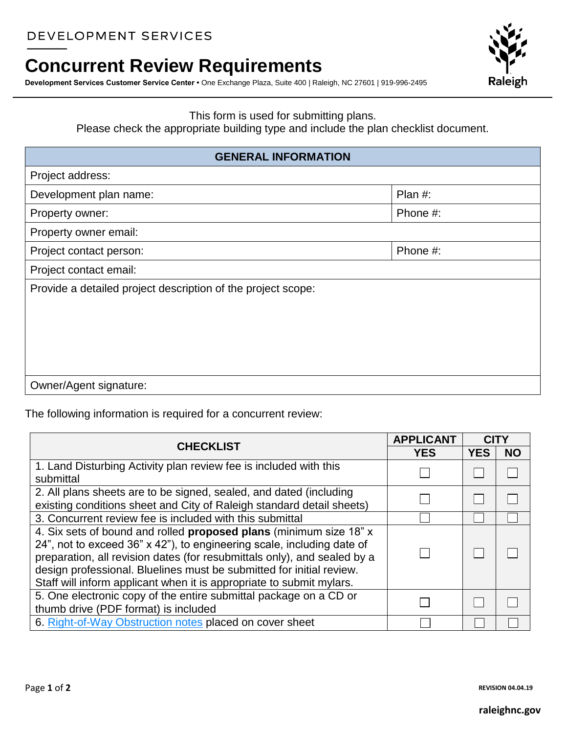## DEVELOPMENT SERVICES

## **Concurrent Review Requirements**

**Development Services Customer Service Center •** One Exchange Plaza, Suite 400 | Raleigh, NC 27601 | 919-996-2495



## This form is used for submitting plans.

Please check the appropriate building type and include the plan checklist document.

## **GENERAL INFORMATION**

| Project address:                                             |          |  |
|--------------------------------------------------------------|----------|--|
| Development plan name:                                       | Plan #:  |  |
| Property owner:                                              | Phone #: |  |
| Property owner email:                                        |          |  |
| Project contact person:                                      | Phone #: |  |
| Project contact email:                                       |          |  |
| Provide a detailed project description of the project scope: |          |  |
|                                                              |          |  |
|                                                              |          |  |
|                                                              |          |  |
|                                                              |          |  |
| Owner/Agent signature:                                       |          |  |

The following information is required for a concurrent review:

| <b>CHECKLIST</b>                                                                                                                                                                                                                                                                                                                                                         | <b>APPLICANT</b> | <b>CIT</b> |           |
|--------------------------------------------------------------------------------------------------------------------------------------------------------------------------------------------------------------------------------------------------------------------------------------------------------------------------------------------------------------------------|------------------|------------|-----------|
|                                                                                                                                                                                                                                                                                                                                                                          | <b>YES</b>       | <b>YES</b> | <b>NO</b> |
| 1. Land Disturbing Activity plan review fee is included with this<br>submittal                                                                                                                                                                                                                                                                                           |                  |            |           |
| 2. All plans sheets are to be signed, sealed, and dated (including<br>existing conditions sheet and City of Raleigh standard detail sheets)                                                                                                                                                                                                                              |                  |            |           |
| 3. Concurrent review fee is included with this submittal                                                                                                                                                                                                                                                                                                                 |                  |            |           |
| 4. Six sets of bound and rolled proposed plans (minimum size 18" x<br>24", not to exceed 36" x 42"), to engineering scale, including date of<br>preparation, all revision dates (for resubmittals only), and sealed by a<br>design professional. Bluelines must be submitted for initial review.<br>Staff will inform applicant when it is appropriate to submit mylars. |                  |            |           |
| 5. One electronic copy of the entire submittal package on a CD or<br>thumb drive (PDF format) is included                                                                                                                                                                                                                                                                |                  |            |           |
| 6. Right-of-Way Obstruction notes placed on cover sheet                                                                                                                                                                                                                                                                                                                  |                  |            |           |